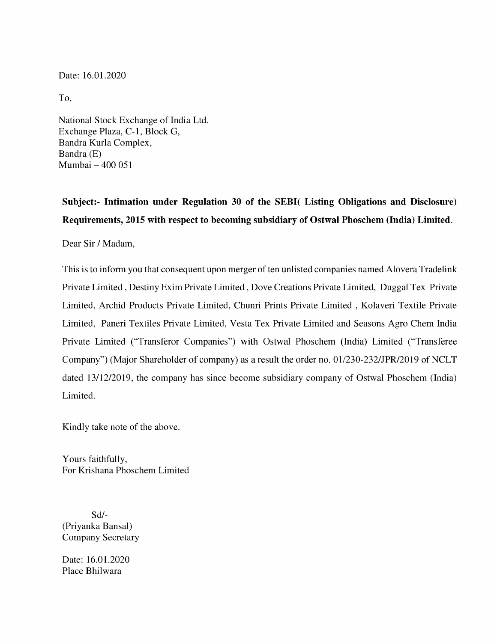Date: 16.01.2020

To,

National Stock Exchange of India Ltd. Exchange Plaza, C-1, Block G, Bandra Kurla Complex, Bandra (E) Mumbai — 400 051

Subject:- Intimation under Regulation 30 of the SEBI( Listing Obligations and Disclosure) Requirements, 2015 with respect to becoming subsidiary of Ostwal Phoschem (India) Limited.

Dear Sir / Madam,

This is to inform you that consequent upon merger of ten unlisted companies named Alovera Tradelink Private Limited , Destiny Exim Private Limited , Dove Creations Private Limited, Duggal Tex Private Limited, Archid Products Private Limited, Chunri Prints Private Limited , Kolaveri Textile Private Limited, Paneri Textiles Private Limited, Vesta Tex Private Limited and Seasons Agro Chem India Private Limited ("Transferor Companies") with Ostwal Phoschem (India) Limited ("Transferee Company") (Major Shareholder of company) as a result the order no. 01/230-232/JPR/2019 of NCLT dated 13/12/2019, the company has since become subsidiary company of Ostwal Phoschem (India) Limited.

Kindly take note of the above.

Yours faithfully, For Krishana Phoschem Limited

Sd/- (Priyanka Bansal) Company Secretary

Date: 16.01.2020 Place Bhilwara